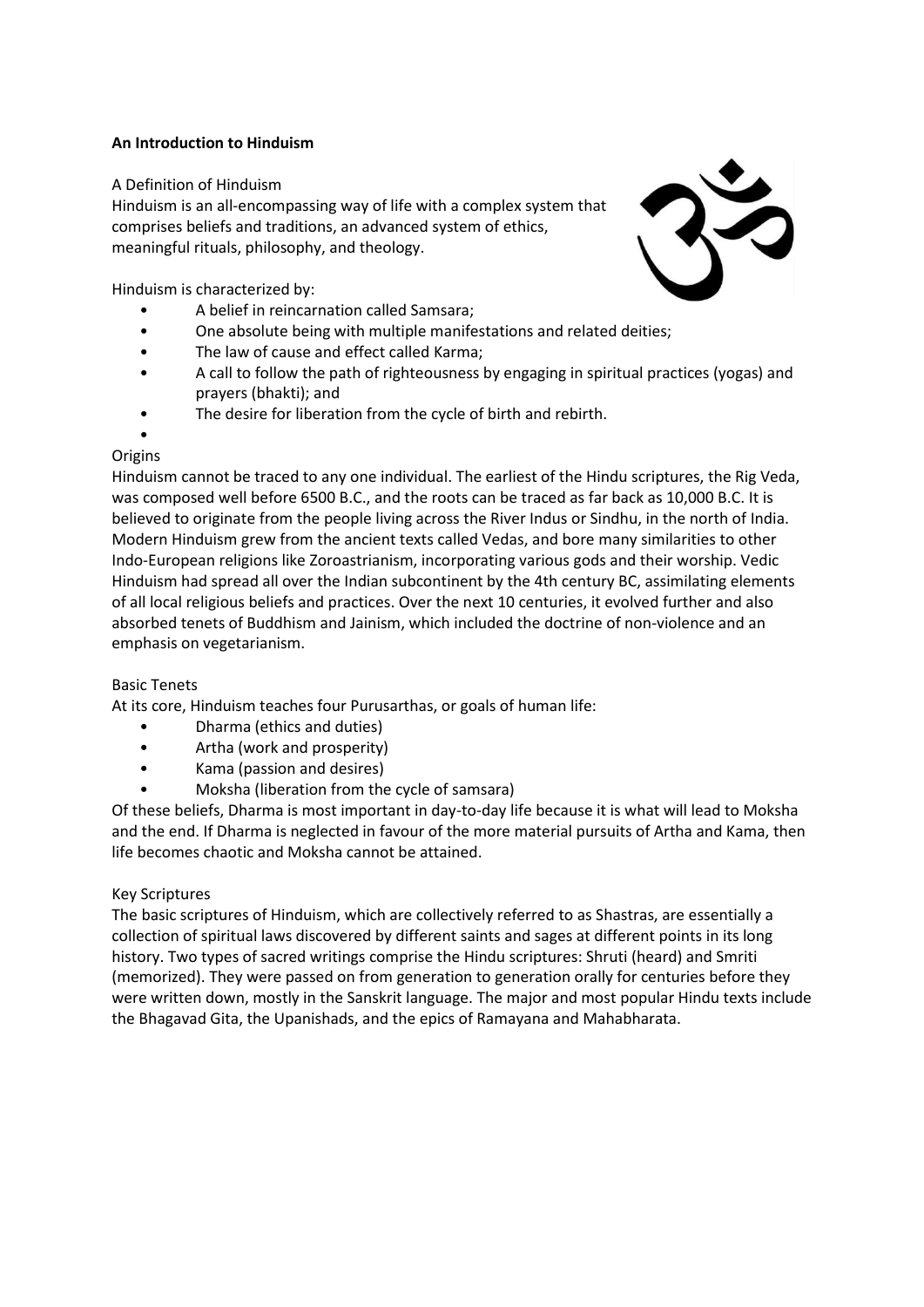# **An Introduction to Hinduism**

A Definition of Hinduism

Hinduism is an all-encompassing way of life with a complex system that comprises beliefs and traditions, an advanced system of ethics, meaningful rituals, philosophy, and theology.



Hinduism is characterized by:

- A belief in reincarnation called Samsara;
- One absolute being with multiple manifestations and related deities;
- The law of cause and effect called Karma;
- A call to follow the path of righteousness by engaging in spiritual practices (yogas) and prayers (bhakti); and
- The desire for liberation from the cycle of birth and rebirth.

#### • **Origins**

Hinduism cannot be traced to any one individual. The earliest of the Hindu scriptures, the Rig Veda, was composed well before 6500 B.C., and the roots can be traced as far back as 10,000 B.C. It is believed to originate from the people living across the River Indus or Sindhu, in the north of India. Modern Hinduism grew from the ancient texts called Vedas, and bore many similarities to other Indo-European religions like Zoroastrianism, incorporating various gods and their worship. Vedic Hinduism had spread all over the Indian subcontinent by the 4th century BC, assimilating elements of all local religious beliefs and practices. Over the next 10 centuries, it evolved further and also absorbed tenets of Buddhism and Jainism, which included the doctrine of non-violence and an emphasis on vegetarianism.

## Basic Tenets

At its core, Hinduism teaches four Purusarthas, or goals of human life:

- Dharma (ethics and duties)
- Artha (work and prosperity)
- Kama (passion and desires)
- Moksha (liberation from the cycle of samsara)

Of these beliefs, Dharma is most important in day-to-day life because it is what will lead to Moksha and the end. If Dharma is neglected in favour of the more material pursuits of Artha and Kama, then life becomes chaotic and Moksha cannot be attained.

## Key Scriptures

The basic scriptures of Hinduism, which are collectively referred to as Shastras, are essentially a collection of spiritual laws discovered by different saints and sages at different points in its long history. Two types of sacred writings comprise the Hindu scriptures: Shruti (heard) and Smriti (memorized). They were passed on from generation to generation orally for centuries before they were written down, mostly in the Sanskrit language. The major and most popular Hindu texts include the Bhagavad Gita, the Upanishads, and the epics of Ramayana and Mahabharata.